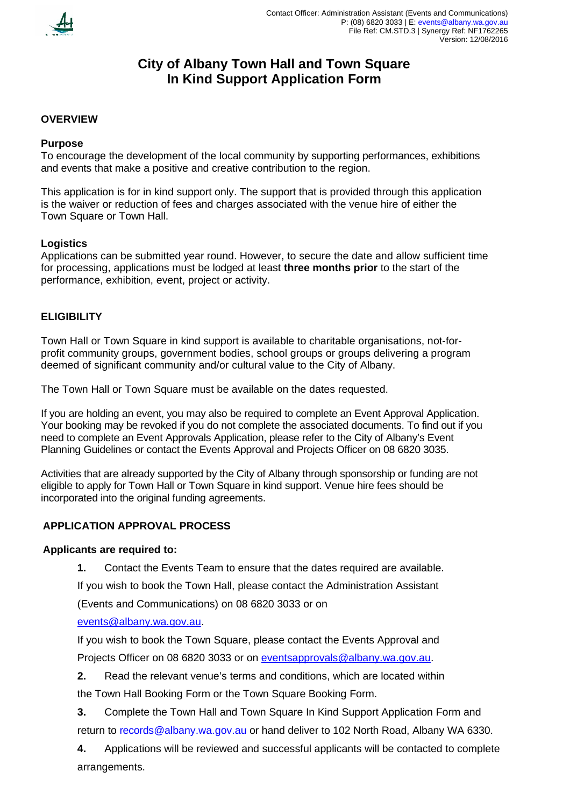

# **City of Albany Town Hall and Town Square In Kind Support Application Form**

#### **OVERVIEW**

#### **Purpose**

To encourage the development of the local community by supporting performances, exhibitions and events that make a positive and creative contribution to the region.

This application is for in kind support only. The support that is provided through this application is the waiver or reduction of fees and charges associated with the venue hire of either the Town Square or Town Hall.

#### **Logistics**

Applications can be submitted year round. However, to secure the date and allow sufficient time for processing, applications must be lodged at least **three months prior** to the start of the performance, exhibition, event, project or activity.

#### **ELIGIBILITY**

Town Hall or Town Square in kind support is available to charitable organisations, not-forprofit community groups, government bodies, school groups or groups delivering a program deemed of significant community and/or cultural value to the City of Albany.

The Town Hall or Town Square must be available on the dates requested.

If you are holding an event, you may also be required to complete an Event Approval Application. Your booking may be revoked if you do not complete the associated documents. To find out if you need to complete an Event Approvals Application, please refer to the City of Albany's Event Planning Guidelines or contact the Events Approval and Projects Officer on 08 6820 3035.

Activities that are already supported by the City of Albany through sponsorship or funding are not eligible to apply for Town Hall or Town Square in kind support. Venue hire fees should be incorporated into the original funding agreements.

### **APPLICATION APPROVAL PROCESS**

#### **Applicants are required to:**

**1.** Contact the Events Team to ensure that the dates required are available.

If you wish to book the Town Hall, please contact the Administration Assistant

(Events and Communications) on 08 6820 3033 or on

#### [events@albany.wa.gov.au.](mailto:events@albany.wa.gov.au)

If you wish to book the Town Square, please contact the Events Approval and Projects Officer on 08 6820 3033 or on [eventsapprovals@albany.wa.gov.au.](mailto:eventsapprovals@albany.wa.gov.au)

**2.** Read the relevant venue's terms and conditions, which are located within

the Town Hall Booking Form or the Town Square Booking Form.

- **3.** Complete the Town Hall and Town Square In Kind Support Application Form and return to [records@albany.wa.gov.au](mailto:records@albany.wa.gov.au) or hand deliver to 102 North Road, Albany WA 6330.
- **4.** Applications will be reviewed and successful applicants will be contacted to complete arrangements.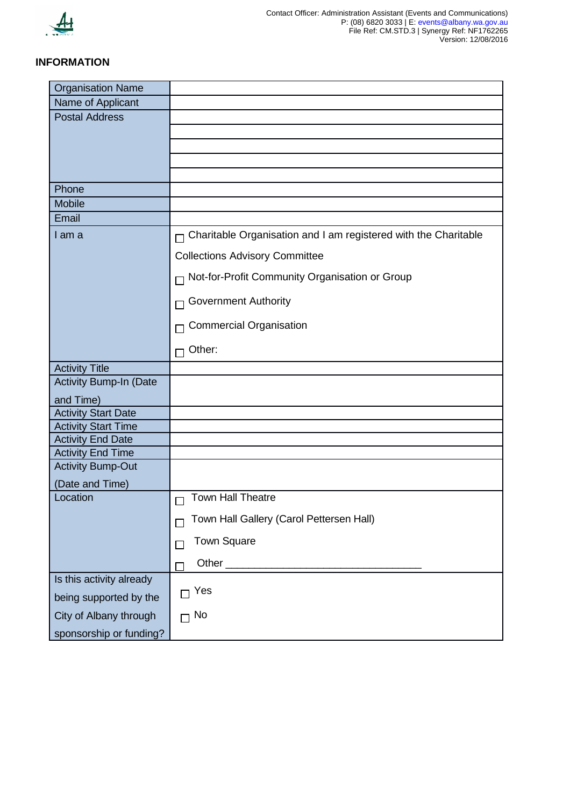

# **INFORMATION**

| <b>Organisation Name</b>   |                                                                        |  |
|----------------------------|------------------------------------------------------------------------|--|
| Name of Applicant          |                                                                        |  |
| <b>Postal Address</b>      |                                                                        |  |
|                            |                                                                        |  |
|                            |                                                                        |  |
|                            |                                                                        |  |
|                            |                                                                        |  |
| Phone                      |                                                                        |  |
| <b>Mobile</b>              |                                                                        |  |
| Email                      |                                                                        |  |
| I am a                     | $\Box$ Charitable Organisation and I am registered with the Charitable |  |
|                            | <b>Collections Advisory Committee</b>                                  |  |
|                            | □ Not-for-Profit Community Organisation or Group                       |  |
|                            | <b>Government Authority</b>                                            |  |
|                            | <b>Commercial Organisation</b>                                         |  |
|                            | Other:                                                                 |  |
| <b>Activity Title</b>      |                                                                        |  |
| Activity Bump-In (Date     |                                                                        |  |
| and Time)                  |                                                                        |  |
| <b>Activity Start Date</b> |                                                                        |  |
| <b>Activity Start Time</b> |                                                                        |  |
| <b>Activity End Date</b>   |                                                                        |  |
| <b>Activity End Time</b>   |                                                                        |  |
| <b>Activity Bump-Out</b>   |                                                                        |  |
| (Date and Time)            |                                                                        |  |
| Location                   | Town Hall Theatre<br>П                                                 |  |
|                            | Town Hall Gallery (Carol Pettersen Hall)                               |  |
|                            | <b>Town Square</b>                                                     |  |
|                            |                                                                        |  |
| Is this activity already   |                                                                        |  |
| being supported by the     | Yes                                                                    |  |
| City of Albany through     | $\Box$ No                                                              |  |
| sponsorship or funding?    |                                                                        |  |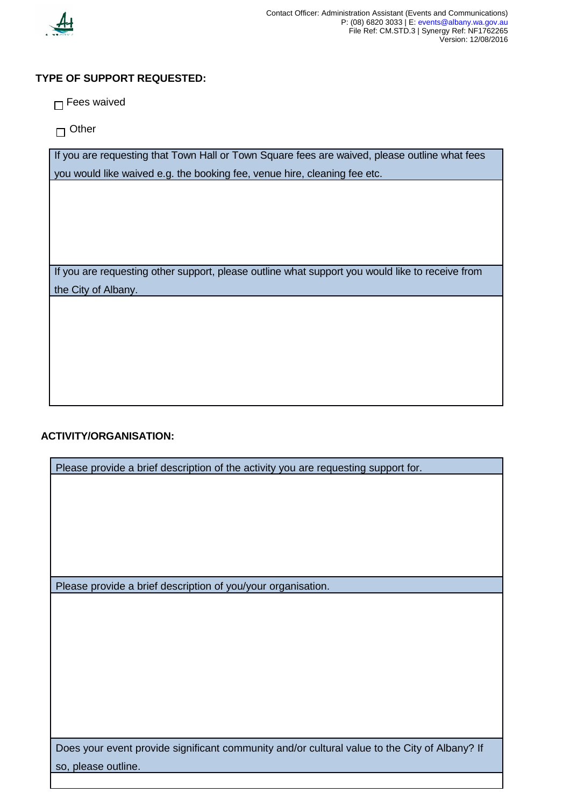

# **TYPE OF SUPPORT REQUESTED:**

 $\Box$  Fees waived

 $\Box$  Other

If you are requesting that Town Hall or Town Square fees are waived, please outline what fees you would like waived e.g. the booking fee, venue hire, cleaning fee etc.

If you are requesting other support, please outline what support you would like to receive from the City of Albany.

# **ACTIVITY/ORGANISATION:**

| Please provide a brief description of the activity you are requesting support for.            |  |  |
|-----------------------------------------------------------------------------------------------|--|--|
|                                                                                               |  |  |
|                                                                                               |  |  |
|                                                                                               |  |  |
|                                                                                               |  |  |
|                                                                                               |  |  |
|                                                                                               |  |  |
|                                                                                               |  |  |
| Please provide a brief description of you/your organisation.                                  |  |  |
|                                                                                               |  |  |
|                                                                                               |  |  |
|                                                                                               |  |  |
|                                                                                               |  |  |
|                                                                                               |  |  |
|                                                                                               |  |  |
|                                                                                               |  |  |
|                                                                                               |  |  |
|                                                                                               |  |  |
|                                                                                               |  |  |
| Does your event provide significant community and/or cultural value to the City of Albany? If |  |  |
| so, please outline.                                                                           |  |  |